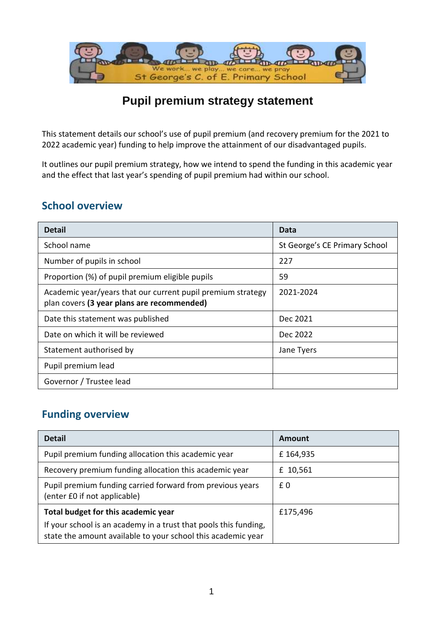

### **Pupil premium strategy statement**

This statement details our school's use of pupil premium (and recovery premium for the 2021 to 2022 academic year) funding to help improve the attainment of our disadvantaged pupils.

It outlines our pupil premium strategy, how we intend to spend the funding in this academic year and the effect that last year's spending of pupil premium had within our school.

#### **School overview**

| <b>Detail</b>                                                                                             | Data                          |
|-----------------------------------------------------------------------------------------------------------|-------------------------------|
| School name                                                                                               | St George's CE Primary School |
| Number of pupils in school                                                                                | 227                           |
| Proportion (%) of pupil premium eligible pupils                                                           | 59                            |
| Academic year/years that our current pupil premium strategy<br>plan covers (3 year plans are recommended) | 2021-2024                     |
| Date this statement was published                                                                         | Dec 2021                      |
| Date on which it will be reviewed                                                                         | Dec 2022                      |
| Statement authorised by                                                                                   | Jane Tyers                    |
| Pupil premium lead                                                                                        |                               |
| Governor / Trustee lead                                                                                   |                               |

### **Funding overview**

| <b>Detail</b>                                                                                                                    | Amount   |
|----------------------------------------------------------------------------------------------------------------------------------|----------|
| Pupil premium funding allocation this academic year                                                                              | £164,935 |
| Recovery premium funding allocation this academic year                                                                           | £ 10,561 |
| Pupil premium funding carried forward from previous years<br>(enter £0 if not applicable)                                        | £0       |
| Total budget for this academic year                                                                                              | £175,496 |
| If your school is an academy in a trust that pools this funding,<br>state the amount available to your school this academic year |          |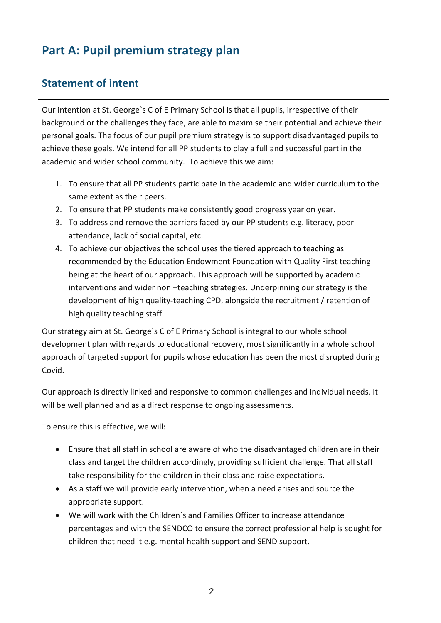# **Part A: Pupil premium strategy plan**

### **Statement of intent**

Our intention at St. George`s C of E Primary School is that all pupils, irrespective of their background or the challenges they face, are able to maximise their potential and achieve their personal goals. The focus of our pupil premium strategy is to support disadvantaged pupils to achieve these goals. We intend for all PP students to play a full and successful part in the academic and wider school community. To achieve this we aim:

- 1. To ensure that all PP students participate in the academic and wider curriculum to the same extent as their peers.
- 2. To ensure that PP students make consistently good progress year on year.
- 3. To address and remove the barriers faced by our PP students e.g. literacy, poor attendance, lack of social capital, etc.
- 4. To achieve our objectives the school uses the tiered approach to teaching as recommended by the Education Endowment Foundation with Quality First teaching being at the heart of our approach. This approach will be supported by academic interventions and wider non –teaching strategies. Underpinning our strategy is the development of high quality-teaching CPD, alongside the recruitment / retention of high quality teaching staff.

Our strategy aim at St. George`s C of E Primary School is integral to our whole school development plan with regards to educational recovery, most significantly in a whole school approach of targeted support for pupils whose education has been the most disrupted during Covid.

Our approach is directly linked and responsive to common challenges and individual needs. It will be well planned and as a direct response to ongoing assessments.

To ensure this is effective, we will:

- Ensure that all staff in school are aware of who the disadvantaged children are in their class and target the children accordingly, providing sufficient challenge. That all staff take responsibility for the children in their class and raise expectations.
- As a staff we will provide early intervention, when a need arises and source the appropriate support.
- We will work with the Children`s and Families Officer to increase attendance percentages and with the SENDCO to ensure the correct professional help is sought for children that need it e.g. mental health support and SEND support.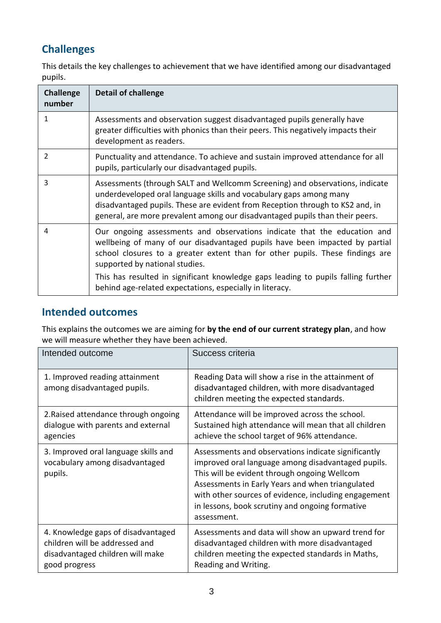## **Challenges**

This details the key challenges to achievement that we have identified among our disadvantaged pupils.

| <b>Challenge</b><br>number | <b>Detail of challenge</b>                                                                                                                                                                                                                                                                                          |
|----------------------------|---------------------------------------------------------------------------------------------------------------------------------------------------------------------------------------------------------------------------------------------------------------------------------------------------------------------|
| 1                          | Assessments and observation suggest disadvantaged pupils generally have<br>greater difficulties with phonics than their peers. This negatively impacts their<br>development as readers.                                                                                                                             |
| $\mathcal{P}$              | Punctuality and attendance. To achieve and sustain improved attendance for all<br>pupils, particularly our disadvantaged pupils.                                                                                                                                                                                    |
| 3                          | Assessments (through SALT and Wellcomm Screening) and observations, indicate<br>underdeveloped oral language skills and vocabulary gaps among many<br>disadvantaged pupils. These are evident from Reception through to KS2 and, in<br>general, are more prevalent among our disadvantaged pupils than their peers. |
| 4                          | Our ongoing assessments and observations indicate that the education and<br>wellbeing of many of our disadvantaged pupils have been impacted by partial<br>school closures to a greater extent than for other pupils. These findings are<br>supported by national studies.                                          |
|                            | This has resulted in significant knowledge gaps leading to pupils falling further<br>behind age-related expectations, especially in literacy.                                                                                                                                                                       |

#### **Intended outcomes**

This explains the outcomes we are aiming for **by the end of our current strategy plan**, and how we will measure whether they have been achieved.

| Intended outcome                                                                                                          | Success criteria                                                                                                                                                                                                                                                                                                                        |
|---------------------------------------------------------------------------------------------------------------------------|-----------------------------------------------------------------------------------------------------------------------------------------------------------------------------------------------------------------------------------------------------------------------------------------------------------------------------------------|
| 1. Improved reading attainment<br>among disadvantaged pupils.                                                             | Reading Data will show a rise in the attainment of<br>disadvantaged children, with more disadvantaged<br>children meeting the expected standards.                                                                                                                                                                                       |
| 2. Raised attendance through ongoing<br>dialogue with parents and external<br>agencies                                    | Attendance will be improved across the school.<br>Sustained high attendance will mean that all children<br>achieve the school target of 96% attendance.                                                                                                                                                                                 |
| 3. Improved oral language skills and<br>vocabulary among disadvantaged<br>pupils.                                         | Assessments and observations indicate significantly<br>improved oral language among disadvantaged pupils.<br>This will be evident through ongoing Wellcom<br>Assessments in Early Years and when triangulated<br>with other sources of evidence, including engagement<br>in lessons, book scrutiny and ongoing formative<br>assessment. |
| 4. Knowledge gaps of disadvantaged<br>children will be addressed and<br>disadvantaged children will make<br>good progress | Assessments and data will show an upward trend for<br>disadvantaged children with more disadvantaged<br>children meeting the expected standards in Maths,<br>Reading and Writing.                                                                                                                                                       |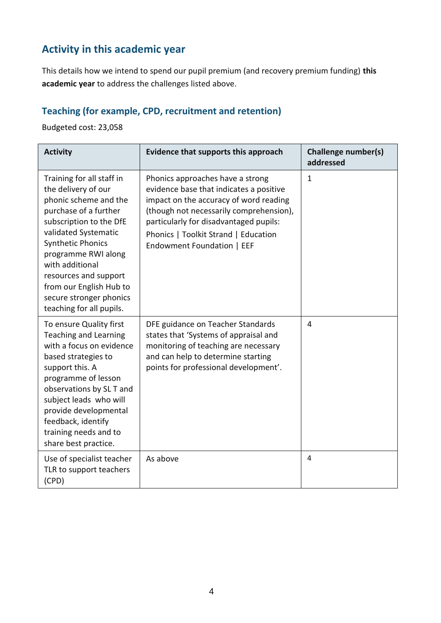### **Activity in this academic year**

This details how we intend to spend our pupil premium (and recovery premium funding) **this academic year** to address the challenges listed above.

#### **Teaching (for example, CPD, recruitment and retention)**

Budgeted cost: 23,058

| <b>Activity</b>                                                                                                                                                                                                                                                                                                                        | Evidence that supports this approach                                                                                                                                                                                                                                             | <b>Challenge number(s)</b><br>addressed |
|----------------------------------------------------------------------------------------------------------------------------------------------------------------------------------------------------------------------------------------------------------------------------------------------------------------------------------------|----------------------------------------------------------------------------------------------------------------------------------------------------------------------------------------------------------------------------------------------------------------------------------|-----------------------------------------|
| Training for all staff in<br>the delivery of our<br>phonic scheme and the<br>purchase of a further<br>subscription to the DfE<br>validated Systematic<br><b>Synthetic Phonics</b><br>programme RWI along<br>with additional<br>resources and support<br>from our English Hub to<br>secure stronger phonics<br>teaching for all pupils. | Phonics approaches have a strong<br>evidence base that indicates a positive<br>impact on the accuracy of word reading<br>(though not necessarily comprehension),<br>particularly for disadvantaged pupils:<br>Phonics   Toolkit Strand   Education<br>Endowment Foundation   EEF | $\mathbf 1$                             |
| To ensure Quality first<br><b>Teaching and Learning</b><br>with a focus on evidence<br>based strategies to<br>support this. A<br>programme of lesson<br>observations by SL T and<br>subject leads who will<br>provide developmental<br>feedback, identify<br>training needs and to<br>share best practice.                             | DFE guidance on Teacher Standards<br>states that 'Systems of appraisal and<br>monitoring of teaching are necessary<br>and can help to determine starting<br>points for professional development'.                                                                                | $\overline{4}$                          |
| Use of specialist teacher<br>TLR to support teachers<br>(CPD)                                                                                                                                                                                                                                                                          | As above                                                                                                                                                                                                                                                                         | 4                                       |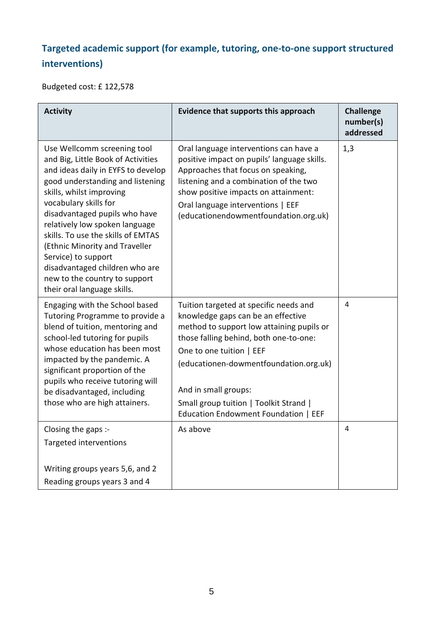## **Targeted academic support (for example, tutoring, one-to-one support structured interventions)**

Budgeted cost: £ 122,578

| <b>Activity</b>                                                                                                                                                                                                                                                                                                                                                                                                                                                      | Evidence that supports this approach                                                                                                                                                                                                                                                                                                                | <b>Challenge</b><br>number(s)<br>addressed |
|----------------------------------------------------------------------------------------------------------------------------------------------------------------------------------------------------------------------------------------------------------------------------------------------------------------------------------------------------------------------------------------------------------------------------------------------------------------------|-----------------------------------------------------------------------------------------------------------------------------------------------------------------------------------------------------------------------------------------------------------------------------------------------------------------------------------------------------|--------------------------------------------|
| Use Wellcomm screening tool<br>and Big, Little Book of Activities<br>and ideas daily in EYFS to develop<br>good understanding and listening<br>skills, whilst improving<br>vocabulary skills for<br>disadvantaged pupils who have<br>relatively low spoken language<br>skills. To use the skills of EMTAS<br>(Ethnic Minority and Traveller<br>Service) to support<br>disadvantaged children who are<br>new to the country to support<br>their oral language skills. | Oral language interventions can have a<br>positive impact on pupils' language skills.<br>Approaches that focus on speaking,<br>listening and a combination of the two<br>show positive impacts on attainment:<br>Oral language interventions   EEF<br>(educationendowmentfoundation.org.uk)                                                         | 1,3                                        |
| Engaging with the School based<br>Tutoring Programme to provide a<br>blend of tuition, mentoring and<br>school-led tutoring for pupils<br>whose education has been most<br>impacted by the pandemic. A<br>significant proportion of the<br>pupils who receive tutoring will<br>be disadvantaged, including<br>those who are high attainers.                                                                                                                          | Tuition targeted at specific needs and<br>knowledge gaps can be an effective<br>method to support low attaining pupils or<br>those falling behind, both one-to-one:<br>One to one tuition   EEF<br>(educationen-dowmentfoundation.org.uk)<br>And in small groups:<br>Small group tuition   Toolkit Strand  <br>Education Endowment Foundation   EEF | 4                                          |
| Closing the gaps :-<br>Targeted interventions                                                                                                                                                                                                                                                                                                                                                                                                                        | As above                                                                                                                                                                                                                                                                                                                                            | 4                                          |
| Writing groups years 5,6, and 2<br>Reading groups years 3 and 4                                                                                                                                                                                                                                                                                                                                                                                                      |                                                                                                                                                                                                                                                                                                                                                     |                                            |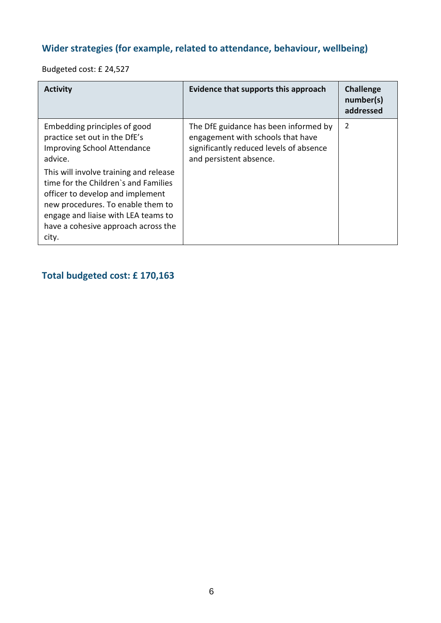### **Wider strategies (for example, related to attendance, behaviour, wellbeing)**

Budgeted cost: £ 24,527

| <b>Activity</b>                                                                                                                                                                                                                                                                                                                                                  | Evidence that supports this approach                                                                                                             | <b>Challenge</b><br>number(s)<br>addressed |
|------------------------------------------------------------------------------------------------------------------------------------------------------------------------------------------------------------------------------------------------------------------------------------------------------------------------------------------------------------------|--------------------------------------------------------------------------------------------------------------------------------------------------|--------------------------------------------|
| Embedding principles of good<br>practice set out in the DfE's<br><b>Improving School Attendance</b><br>advice.<br>This will involve training and release<br>time for the Children's and Families<br>officer to develop and implement<br>new procedures. To enable them to<br>engage and liaise with LEA teams to<br>have a cohesive approach across the<br>city. | The DfE guidance has been informed by<br>engagement with schools that have<br>significantly reduced levels of absence<br>and persistent absence. | 2                                          |

### **Total budgeted cost: £ 170,163**